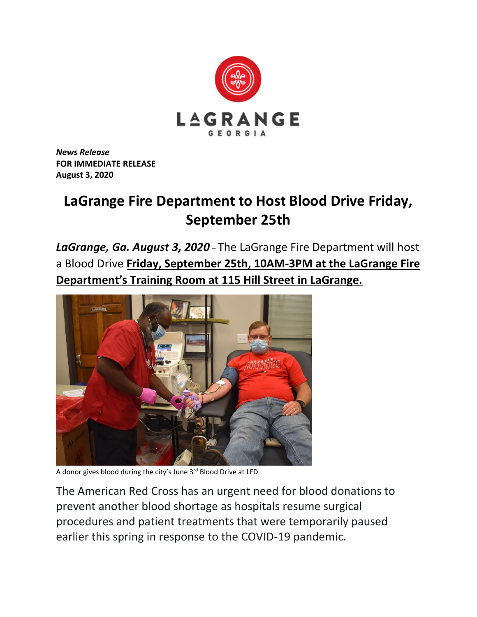

*News Release* **FOR IMMEDIATE RELEASE August 3, 2020**

## **LaGrange Fire Department to Host Blood Drive Friday, September 25th**

*LaGrange, Ga. August 3, 2020* – The LaGrange Fire Department will host a Blood Drive **Friday, September 25th, 10AM-3PM at the LaGrange Fire Department's Training Room at 115 Hill Street in LaGrange.**



A donor gives blood during the city's June 3<sup>rd</sup> Blood Drive at LFD

The American Red Cross has an urgent need for blood donations to prevent another blood shortage as hospitals resume surgical procedures and patient treatments that were temporarily paused earlier this spring in response to the COVID-19 pandemic.